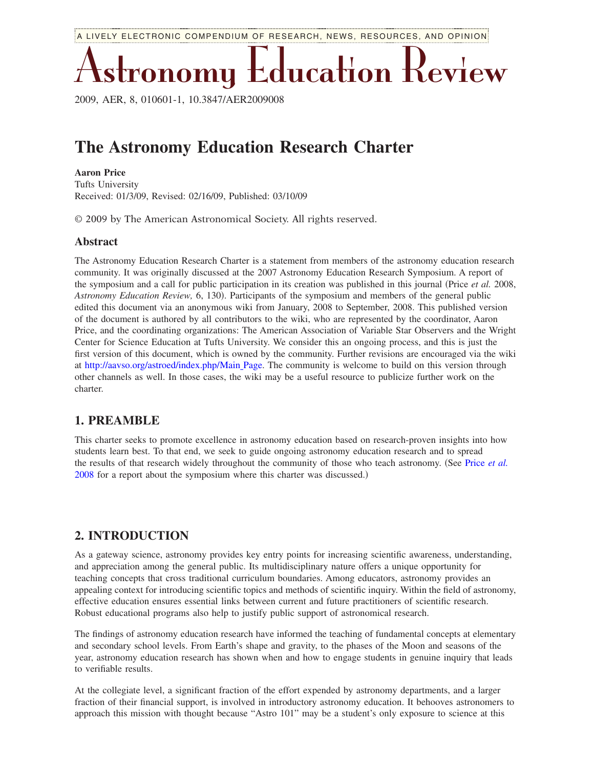A LIVELY ELECTRONIC COMPENDIUM OF RESEARCH, NEWS, RESOURCES, AND OPINION

Astronomy Education Review

2009, AER, 8, 010601-1, 10.3847/AER2009008

# **The Astronomy Education Research Charter**

#### **Aaron Price**

Tufts University Received: 01/3/09, Revised: 02/16/09, Published: 03/10/09

© 2009 by The American Astronomical Society. All rights reserved.

#### **Abstract**

The Astronomy Education Research Charter is a statement from members of the astronomy education research community. It was originally discussed at the 2007 Astronomy Education Research Symposium. A report of the symposium and a call for public participation in its creation was published in this journal Price *et al.* 2008, Astronomy Education Review, 6, 130). Participants of the symposium and members of the general public edited this document via an anonymous wiki from January, 2008 to September, 2008. This published version of the document is authored by all contributors to the wiki, who are represented by the coordinator, Aaron Price, and the coordinating organizations: The American Association of Variable Star Observers and the Wright Center for Science Education at Tufts University. We consider this an ongoing process, and this is just the first version of this document, which is owned by the community. Further revisions are encouraged via the wiki at http://aavso.org/astroed/index.php/Main Page. The community is welcome to build on this version through other channels as well. In those cases, the wiki may be a useful resource to publicize further work on the charter.

#### **1. PREAMBLE**

This charter seeks to promote excellence in astronomy education based on research-proven insights into how students learn best. To that end, we seek to guide ongoing astronomy education research and to spread the results of that research widely throughout the community of those who teach astronomy. (See Price *[et al.](#page-2-0)*) [2008](#page-2-0) for a report about the symposium where this charter was discussed.)

## **2. INTRODUCTION**

As a gateway science, astronomy provides key entry points for increasing scientific awareness, understanding, and appreciation among the general public. Its multidisciplinary nature offers a unique opportunity for teaching concepts that cross traditional curriculum boundaries. Among educators, astronomy provides an appealing context for introducing scientific topics and methods of scientific inquiry. Within the field of astronomy, effective education ensures essential links between current and future practitioners of scientific research. Robust educational programs also help to justify public support of astronomical research.

The findings of astronomy education research have informed the teaching of fundamental concepts at elementary and secondary school levels. From Earth's shape and gravity, to the phases of the Moon and seasons of the year, astronomy education research has shown when and how to engage students in genuine inquiry that leads to verifiable results.

At the collegiate level, a significant fraction of the effort expended by astronomy departments, and a larger fraction of their financial support, is involved in introductory astronomy education. It behooves astronomers to approach this mission with thought because "Astro 101" may be a student's only exposure to science at this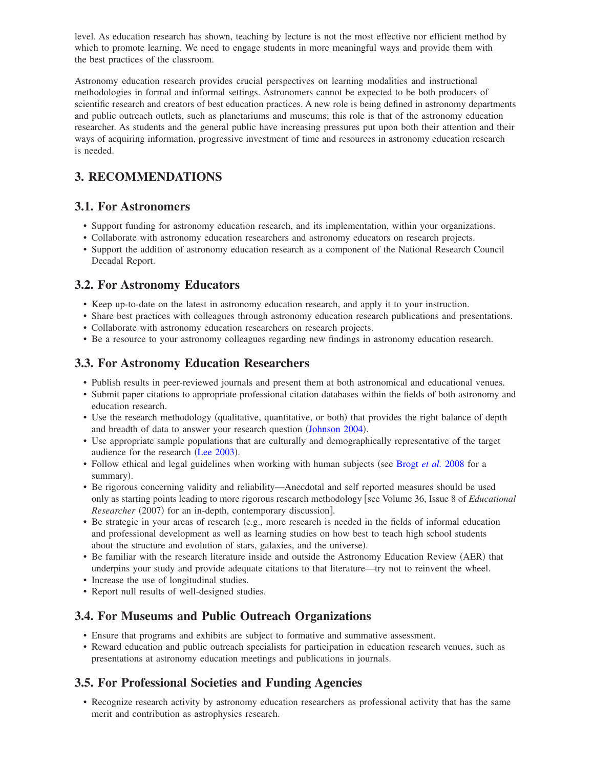level. As education research has shown, teaching by lecture is not the most effective nor efficient method by which to promote learning. We need to engage students in more meaningful ways and provide them with the best practices of the classroom.

Astronomy education research provides crucial perspectives on learning modalities and instructional methodologies in formal and informal settings. Astronomers cannot be expected to be both producers of scientific research and creators of best education practices. A new role is being defined in astronomy departments and public outreach outlets, such as planetariums and museums; this role is that of the astronomy education researcher. As students and the general public have increasing pressures put upon both their attention and their ways of acquiring information, progressive investment of time and resources in astronomy education research is needed.

# **3. RECOMMENDATIONS**

## **3.1. For Astronomers**

- Support funding for astronomy education research, and its implementation, within your organizations.
- Collaborate with astronomy education researchers and astronomy educators on research projects.
- Support the addition of astronomy education research as a component of the National Research Council Decadal Report.

## **3.2. For Astronomy Educators**

- Keep up-to-date on the latest in astronomy education research, and apply it to your instruction.
- Share best practices with colleagues through astronomy education research publications and presentations.
- Collaborate with astronomy education researchers on research projects.
- Be a resource to your astronomy colleagues regarding new findings in astronomy education research.

## **3.3. For Astronomy Education Researchers**

- Publish results in peer-reviewed journals and present them at both astronomical and educational venues.
- Submit paper citations to appropriate professional citation databases within the fields of both astronomy and education research.
- Use the research methodology (qualitative, quantitative, or both) that provides the right balance of depth and breadth of data to answer your research question ([Johnson 2004](#page-2-1)).
- Use appropriate sample populations that are culturally and demographically representative of the target audience for the research ([Lee 2003](#page-2-2)).
- Follow ethical and legal guidelines when working with human subjects (see [Brogt](#page-2-3) *et al.* 2008 for a summary).
- Be rigorous concerning validity and reliability—Anecdotal and self reported measures should be used only as starting points leading to more rigorous research methodology [see Volume 36, Issue 8 of *Educational Researcher* (2007) for an in-depth, contemporary discussion].
- Be strategic in your areas of research (e.g., more research is needed in the fields of informal education and professional development as well as learning studies on how best to teach high school students about the structure and evolution of stars, galaxies, and the universe).
- Be familiar with the research literature inside and outside the Astronomy Education Review (AER) that underpins your study and provide adequate citations to that literature—try not to reinvent the wheel.
- Increase the use of longitudinal studies.
- Report null results of well-designed studies.

# **3.4. For Museums and Public Outreach Organizations**

- Ensure that programs and exhibits are subject to formative and summative assessment.
- Reward education and public outreach specialists for participation in education research venues, such as presentations at astronomy education meetings and publications in journals.

# **3.5. For Professional Societies and Funding Agencies**

• Recognize research activity by astronomy education researchers as professional activity that has the same merit and contribution as astrophysics research.